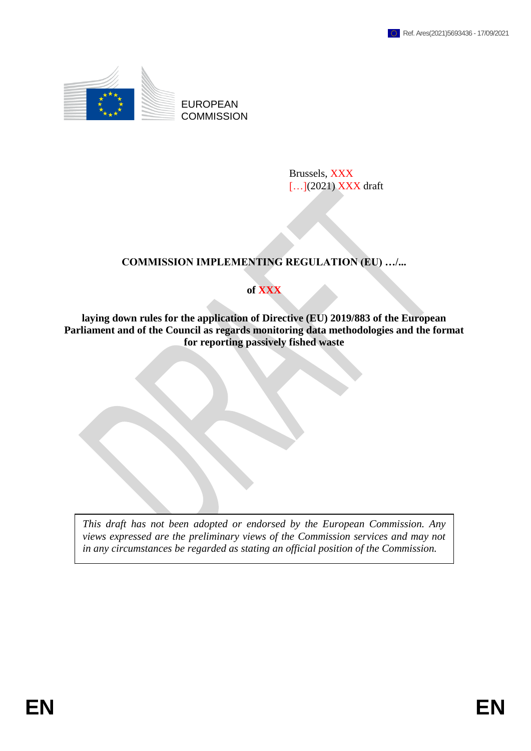

EUROPEAN **COMMISSION** 

> Brussels, XXX [...](2021) XXX draft

# **COMMISSION IMPLEMENTING REGULATION (EU) …/...**

## **of XXX**

**laying down rules for the application of Directive (EU) 2019/883 of the European Parliament and of the Council as regards monitoring data methodologies and the format for reporting passively fished waste**

*This draft has not been adopted or endorsed by the European Commission. Any views expressed are the preliminary views of the Commission services and may not in any circumstances be regarded as stating an official position of the Commission.*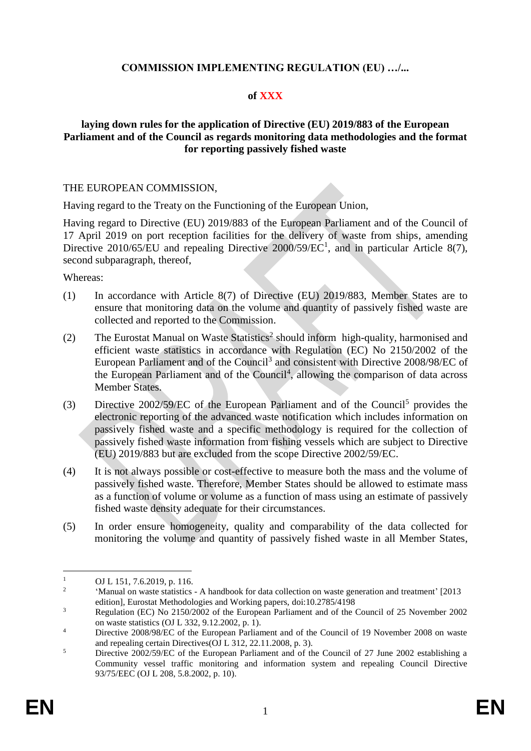## **COMMISSION IMPLEMENTING REGULATION (EU) …/...**

### **of XXX**

### **laying down rules for the application of Directive (EU) 2019/883 of the European Parliament and of the Council as regards monitoring data methodologies and the format for reporting passively fished waste**

#### THE EUROPEAN COMMISSION,

Having regard to the Treaty on the Functioning of the European Union,

Having regard to Directive (EU) 2019/883 of the European Parliament and of the Council of 17 April 2019 on port reception facilities for the delivery of waste from ships, amending Directive 2010/65/EU and repealing Directive  $2000/59/EC<sup>1</sup>$ , and in particular Article 8(7), second subparagraph, thereof,

#### Whereas:

- (1) In accordance with Article 8(7) of Directive (EU) 2019/883, Member States are to ensure that monitoring data on the volume and quantity of passively fished waste are collected and reported to the Commission.
- (2) The Eurostat Manual on Waste Statistics<sup>2</sup> should inform high-quality, harmonised and efficient waste statistics in accordance with Regulation (EC) No 2150/2002 of the European Parliament and of the Council<sup>3</sup> and consistent with Directive 2008/98/EC of the European Parliament and of the Council<sup>4</sup>, allowing the comparison of data across Member States.
- (3) Directive 2002/59/EC of the European Parliament and of the Council<sup>5</sup> provides the electronic reporting of the advanced waste notification which includes information on passively fished waste and a specific methodology is required for the collection of passively fished waste information from fishing vessels which are subject to Directive (EU) 2019/883 but are excluded from the scope Directive 2002/59/EC.
- (4) It is not always possible or cost-effective to measure both the mass and the volume of passively fished waste. Therefore, Member States should be allowed to estimate mass as a function of volume or volume as a function of mass using an estimate of passively fished waste density adequate for their circumstances.
- (5) In order ensure homogeneity, quality and comparability of the data collected for monitoring the volume and quantity of passively fished waste in all Member States,

 $\mathbf{1}$ OJ L 151, 7.6.2019, p. 116.

<sup>2</sup> ʻManual on waste statistics - A handbook for data collection on waste generation and treatment' [2013 edition], Eurostat Methodologies and Working papers, doi:10.2785/4198

<sup>&</sup>lt;sup>3</sup> Regulation (EC) No 2150/2002 of the European Parliament and of the Council of 25 November 2002 on waste statistics (OJ L 332, 9.12.2002, p. 1).

<sup>&</sup>lt;sup>4</sup> Directive 2008/98/EC of the European Parliament and of the Council of 19 November 2008 on waste and repealing certain Directives(OJ L 312, 22.11.2008, p. 3).

<sup>&</sup>lt;sup>5</sup> Directive 2002/59/EC of the European Parliament and of the Council of 27 June 2002 establishing a Community vessel traffic monitoring and information system and repealing Council Directive 93/75/EEC (OJ L 208, 5.8.2002, p. 10).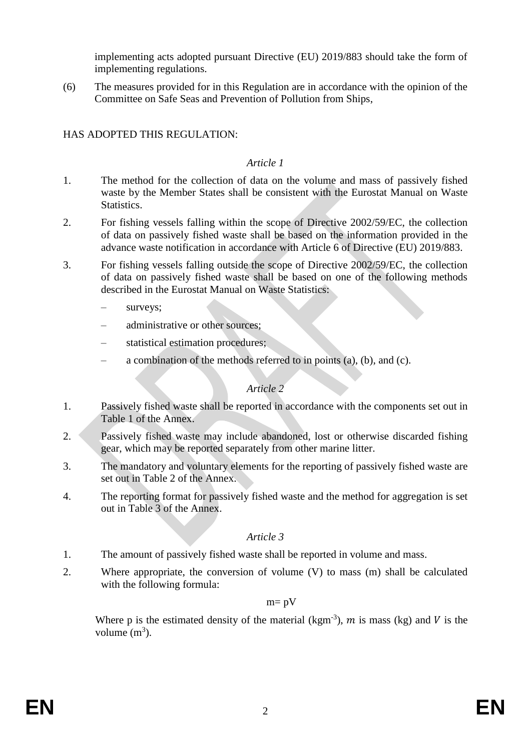implementing acts adopted pursuant Directive (EU) 2019/883 should take the form of implementing regulations.

(6) The measures provided for in this Regulation are in accordance with the opinion of the Committee on Safe Seas and Prevention of Pollution from Ships,

# HAS ADOPTED THIS REGULATION:

### *Article 1*

- 1. The method for the collection of data on the volume and mass of passively fished waste by the Member States shall be consistent with the Eurostat Manual on Waste Statistics.
- 2. For fishing vessels falling within the scope of Directive 2002/59/EC, the collection of data on passively fished waste shall be based on the information provided in the advance waste notification in accordance with Article 6 of Directive (EU) 2019/883.
- 3. For fishing vessels falling outside the scope of Directive 2002/59/EC, the collection of data on passively fished waste shall be based on one of the following methods described in the Eurostat Manual on Waste Statistics:
	- surveys;
	- administrative or other sources;
	- statistical estimation procedures;
	- a combination of the methods referred to in points (a), (b), and (c).

## *Article 2*

- 1. Passively fished waste shall be reported in accordance with the components set out in Table 1 of the Annex.
- 2. Passively fished waste may include abandoned, lost or otherwise discarded fishing gear, which may be reported separately from other marine litter.
- 3. The mandatory and voluntary elements for the reporting of passively fished waste are set out in Table 2 of the Annex.
- 4. The reporting format for passively fished waste and the method for aggregation is set out in Table 3 of the Annex.

## *Article 3*

- 1. The amount of passively fished waste shall be reported in volume and mass.
- 2. Where appropriate, the conversion of volume (V) to mass (m) shall be calculated with the following formula:

### $m = pV$

Where p is the estimated density of the material (kgm<sup>-3</sup>),  $m$  is mass (kg) and  $V$  is the volume  $(m^3)$ .